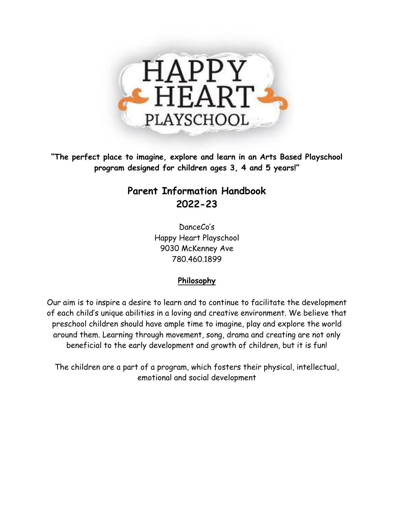

**"The perfect place to imagine, explore and learn in an Arts Based Playschool program designed for children ages 3, 4 and 5 years!"**

# **Parent Information Handbook 2022-23**

DanceCo's Happy Heart Playschool 9030 McKenney Ave 780.460.1899

## **Philosophy**

Our aim is to inspire a desire to learn and to continue to facilitate the development of each child's unique abilities in a loving and creative environment. We believe that preschool children should have ample time to imagine, play and explore the world around them. Learning through movement, song, drama and creating are not only beneficial to the early development and growth of children, but it is fun!

The children are a part of a program, which fosters their physical, intellectual, emotional and social development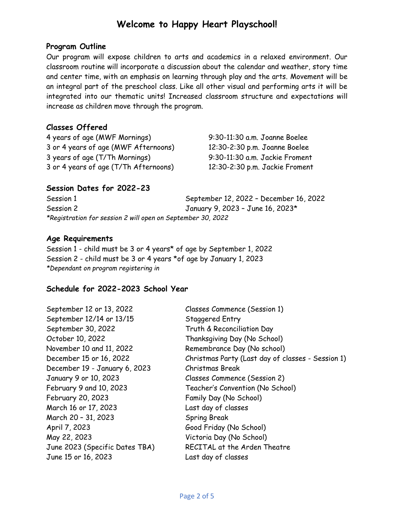## **Welcome to Happy Heart Playschool!**

### **Program Outline**

Our program will expose children to arts and academics in a relaxed environment. Our classroom routine will incorporate a discussion about the calendar and weather, story time and center time, with an emphasis on learning through play and the arts. Movement will be an integral part of the preschool class. Like all other visual and performing arts it will be integrated into our thematic units! Increased classroom structure and expectations will increase as children move through the program.

## **Classes Offered**

4 years of age (MWF Mornings) 9:30-11:30 a.m. Joanne Boelee 3 or 4 years of age (MWF Afternoons) 12:30-2:30 p.m. Joanne Boelee 3 years of age (T/Th Mornings) 9:30-11:30 a.m. Jackie Froment 3 or 4 years of age (T/Th Afternoons) 12:30-2:30 p.m. Jackie Froment

## **Session Dates for 2022-23**

| Session 1                                                   | September 12, 2022 - December 16, 2022 |
|-------------------------------------------------------------|----------------------------------------|
| Session 2                                                   | January 9, 2023 - June 16, 2023*       |
| *Registration for session 2 will open on September 30, 2022 |                                        |

### **Age Requirements**

Session 1 - child must be 3 or 4 years\* of age by September 1, 2022 Session 2 - child must be 3 or 4 years \*of age by January 1, 2023 *\*Dependant on program registering in*

## **Schedule for 2022-2023 School Year**

| September 12 or 13, 2022       | Classes Commence (Session 1)                      |
|--------------------------------|---------------------------------------------------|
| September 12/14 or 13/15       | Staggered Entry                                   |
| September 30, 2022             | Truth & Reconciliation Day                        |
| October 10, 2022               | Thanksgiving Day (No School)                      |
| November 10 and 11, 2022       | Remembrance Day (No school)                       |
| December 15 or 16, 2022        | Christmas Party (Last day of classes - Session 1) |
| December 19 - January 6, 2023  | Christmas Break                                   |
| January 9 or 10, 2023          | Classes Commence (Session 2)                      |
| February 9 and 10, 2023        | Teacher's Convention (No School)                  |
| February 20, 2023              | Family Day (No School)                            |
| March 16 or 17, 2023           | Last day of classes                               |
| March 20 - 31, 2023            | <b>Spring Break</b>                               |
| April 7, 2023                  | Good Friday (No School)                           |
| May 22, 2023                   | Victoria Day (No School)                          |
| June 2023 (Specific Dates TBA) | RECITAL at the Arden Theatre                      |
| June 15 or 16, 2023            | Last day of classes                               |
|                                |                                                   |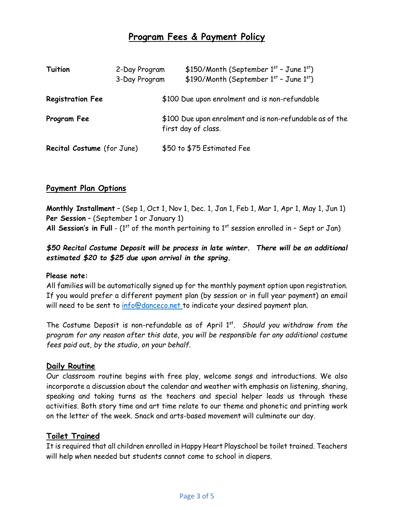## **Program Fees & Payment Policy**

| <b>Tuition</b>             | 2-Day Program<br>3-Day Program                 | $$150/M$ onth (September $1st$ - June $1st$ )<br>\$190/Month (September $1^{st}$ - June $1^{st}$ ) |
|----------------------------|------------------------------------------------|----------------------------------------------------------------------------------------------------|
| <b>Registration Fee</b>    | \$100 Due upon enrolment and is non-refundable |                                                                                                    |
| Program Fee                |                                                | \$100 Due upon enrolment and is non-refundable as of the<br>first day of class.                    |
| Recital Costume (for June) |                                                | \$50 to \$75 Estimated Fee                                                                         |

### **Payment Plan Options**

**Monthly Installment** – (Sep 1, Oct 1, Nov 1, Dec. 1, Jan 1, Feb 1, Mar 1, Apr 1, May 1, Jun 1) **Per Session** – (September 1 or January 1) All Session's in Full - (1<sup>st</sup> of the month pertaining to 1<sup>st</sup> session enrolled in - Sept or Jan)

### *\$50 Recital Costume Deposit will be process in late winter. There will be an additional estimated \$20 to \$25 due upon arrival in the spring.*

#### **Please note:**

All families will be automatically signed up for the monthly payment option upon registration. If you would prefer a different payment plan (by session or in full year payment) an email will need to be sent to [info@danceco.net](mailto:info@danceco.net) to indicate your desired payment plan.

The Costume Deposit is non-refundable as of April 1<sup>st</sup>. Should you withdraw from the *program for any reason after this date, you will be responsible for any additional costume fees paid out, by the studio, on your behalf.*

#### **Daily Routine**

Our classroom routine begins with free play, welcome songs and introductions. We also incorporate a discussion about the calendar and weather with emphasis on listening, sharing, speaking and taking turns as the teachers and special helper leads us through these activities. Both story time and art time relate to our theme and phonetic and printing work on the letter of the week. Snack and arts-based movement will culminate our day.

#### **Toilet Trained**

It is required that all children enrolled in Happy Heart Playschool be toilet trained. Teachers will help when needed but students cannot come to school in diapers.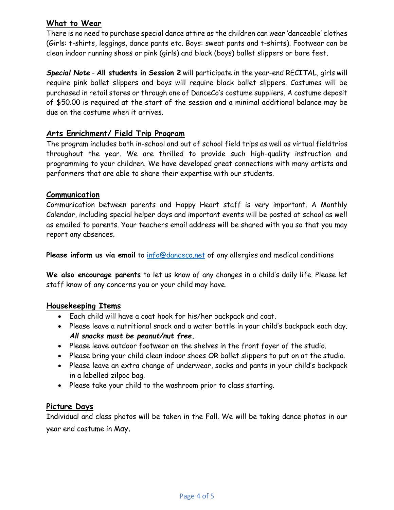## **What to Wear**

There is no need to purchase special dance attire as the children can wear 'danceable' clothes (Girls: t-shirts, leggings, dance pants etc. Boys: sweat pants and t-shirts). Footwear can be clean indoor running shoes or pink (girls) and black (boys) ballet slippers or bare feet.

*Special Note* - **All students in Session 2** will participate in the year-end RECITAL, girls will require pink ballet slippers and boys will require black ballet slippers. Costumes will be purchased in retail stores or through one of DanceCo's costume suppliers. A costume deposit of \$50.00 is required at the start of the session and a minimal additional balance may be due on the costume when it arrives.

## **Arts Enrichment/ Field Trip Program**

The program includes both in-school and out of school field trips as well as virtual fieldtrips throughout the year. We are thrilled to provide such high-quality instruction and programming to your children. We have developed great connections with many artists and performers that are able to share their expertise with our students.

#### **Communication**

Communication between parents and Happy Heart staff is very important. A Monthly Calendar, including special helper days and important events will be posted at school as well as emailed to parents. Your teachers email address will be shared with you so that you may report any absences.

**Please inform us via email** to [info@danceco.net](mailto:info@danceco.net) of any allergies and medical conditions

**We also encourage parents** to let us know of any changes in a child's daily life. Please let staff know of any concerns you or your child may have.

#### **Housekeeping Items**

- Each child will have a coat hook for his/her backpack and coat.
- Please leave a nutritional snack and a water bottle in your child's backpack each day. *All snacks must be peanut/nut free.*
- Please leave outdoor footwear on the shelves in the front foyer of the studio.
- Please bring your child clean indoor shoes OR ballet slippers to put on at the studio.
- Please leave an extra change of underwear, socks and pants in your child's backpack in a labelled zilpoc bag.
- Please take your child to the washroom prior to class starting.

#### **Picture Days**

Individual and class photos will be taken in the Fall. We will be taking dance photos in our year end costume in May.